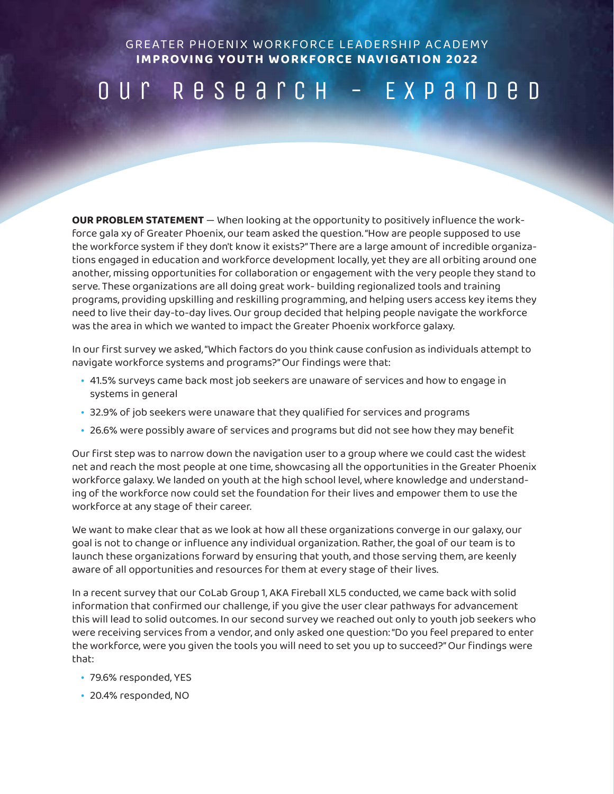GREATER PHOENIX WORKFORCE LEADERSHIP ACADEMY **IMPROVING YOUTH WORKFORCE NAVIGATION 2022**

## Our Research - Expanded

**OUR PROBLEM STATEMENT** — When looking at the opportunity to positively influence the workforce gala xy of Greater Phoenix, our team asked the question. "How are people supposed to use the workforce system if they don't know it exists?" There are a large amount of incredible organizations engaged in education and workforce development locally, yet they are all orbiting around one another, missing opportunities for collaboration or engagement with the very people they stand to serve. These organizations are all doing great work- building regionalized tools and training programs, providing upskilling and reskilling programming, and helping users access key items they need to live their day-to-day lives. Our group decided that helping people navigate the workforce was the area in which we wanted to impact the Greater Phoenix workforce galaxy.

In our first survey we asked, "Which factors do you think cause confusion as individuals attempt to navigate workforce systems and programs?" Our findings were that:

- 41.5% surveys came back most job seekers are unaware of services and how to engage in systems in general
- 32.9% of job seekers were unaware that they qualified for services and programs
- 26.6% were possibly aware of services and programs but did not see how they may benefit

Our first step was to narrow down the navigation user to a group where we could cast the widest net and reach the most people at one time, showcasing all the opportunities in the Greater Phoenix workforce galaxy. We landed on youth at the high school level, where knowledge and understanding of the workforce now could set the foundation for their lives and empower them to use the workforce at any stage of their career.

We want to make clear that as we look at how all these organizations converge in our galaxy, our goal is not to change or influence any individual organization. Rather, the goal of our team is to launch these organizations forward by ensuring that youth, and those serving them, are keenly aware of all opportunities and resources for them at every stage of their lives.

In a recent survey that our CoLab Group 1, AKA Fireball XL5 conducted, we came back with solid information that confirmed our challenge, if you give the user clear pathways for advancement this will lead to solid outcomes. In our second survey we reached out only to youth job seekers who were receiving services from a vendor, and only asked one question: "Do you feel prepared to enter the workforce, were you given the tools you will need to set you up to succeed?" Our findings were that:

- 79.6% responded, YES
- 20.4% responded, NO